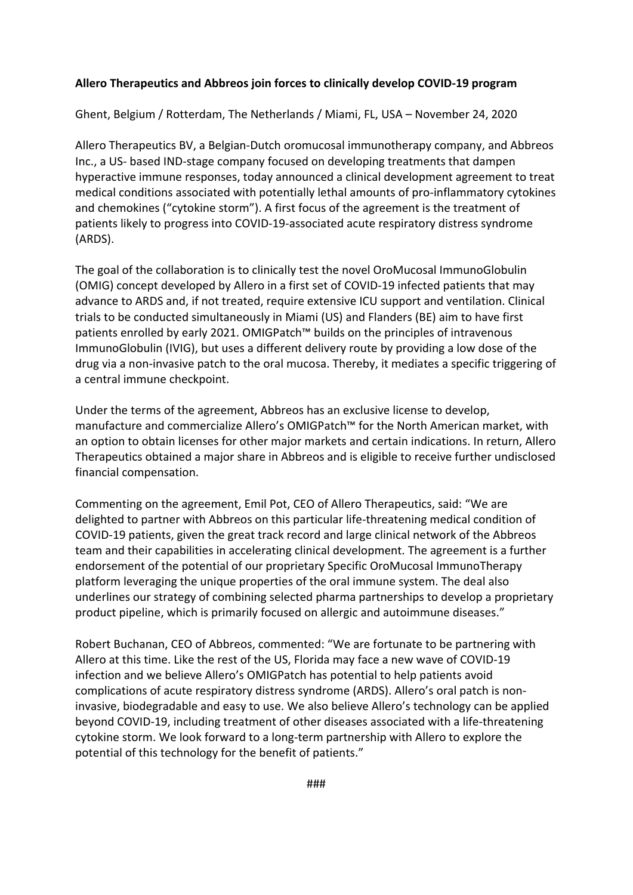## **Allero Therapeutics and Abbreos join forces to clinically develop COVID-19 program**

Ghent, Belgium / Rotterdam, The Netherlands / Miami, FL, USA – November 24, 2020

Allero Therapeutics BV, a Belgian-Dutch oromucosal immunotherapy company, and Abbreos Inc., a US- based IND-stage company focused on developing treatments that dampen hyperactive immune responses, today announced a clinical development agreement to treat medical conditions associated with potentially lethal amounts of pro-inflammatory cytokines and chemokines ("cytokine storm"). A first focus of the agreement is the treatment of patients likely to progress into COVID-19-associated acute respiratory distress syndrome (ARDS).

The goal of the collaboration is to clinically test the novel OroMucosal ImmunoGlobulin (OMIG) concept developed by Allero in a first set of COVID-19 infected patients that may advance to ARDS and, if not treated, require extensive ICU support and ventilation. Clinical trials to be conducted simultaneously in Miami (US) and Flanders (BE) aim to have first patients enrolled by early 2021. OMIGPatch™ builds on the principles of intravenous ImmunoGlobulin (IVIG), but uses a different delivery route by providing a low dose of the drug via a non-invasive patch to the oral mucosa. Thereby, it mediates a specific triggering of a central immune checkpoint.

Under the terms of the agreement, Abbreos has an exclusive license to develop, manufacture and commercialize Allero's OMIGPatch™ for the North American market, with an option to obtain licenses for other major markets and certain indications. In return, Allero Therapeutics obtained a major share in Abbreos and is eligible to receive further undisclosed financial compensation.

Commenting on the agreement, Emil Pot, CEO of Allero Therapeutics, said: "We are delighted to partner with Abbreos on this particular life-threatening medical condition of COVID-19 patients, given the great track record and large clinical network of the Abbreos team and their capabilities in accelerating clinical development. The agreement is a further endorsement of the potential of our proprietary Specific OroMucosal ImmunoTherapy platform leveraging the unique properties of the oral immune system. The deal also underlines our strategy of combining selected pharma partnerships to develop a proprietary product pipeline, which is primarily focused on allergic and autoimmune diseases."

Robert Buchanan, CEO of Abbreos, commented: "We are fortunate to be partnering with Allero at this time. Like the rest of the US, Florida may face a new wave of COVID-19 infection and we believe Allero's OMIGPatch has potential to help patients avoid complications of acute respiratory distress syndrome (ARDS). Allero's oral patch is noninvasive, biodegradable and easy to use. We also believe Allero's technology can be applied beyond COVID-19, including treatment of other diseases associated with a life-threatening cytokine storm. We look forward to a long-term partnership with Allero to explore the potential of this technology for the benefit of patients."